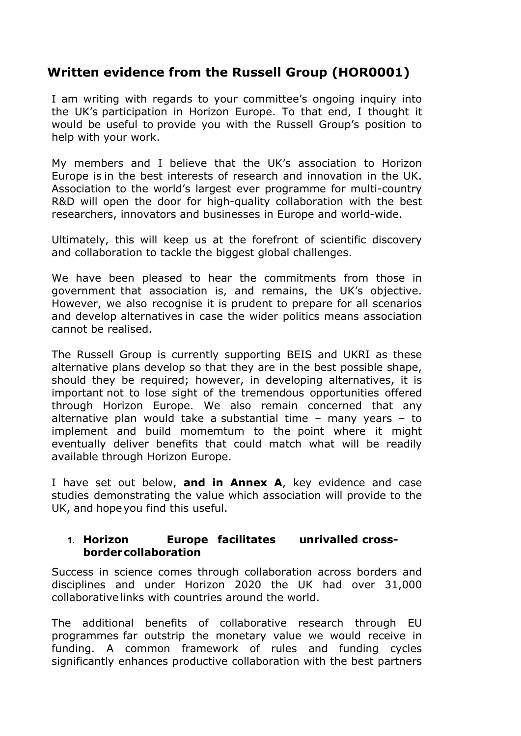# **Written evidence from the Russell Group (HOR0001)**

I am writing with regards to your committee's ongoing inquiry into the UK's participation in Horizon Europe. To that end, I thought it would be useful to provide you with the Russell Group's position to help with your work.

My members and I believe that the UK's association to Horizon Europe is in the best interests of research and innovation in the UK. Association to the world's largest ever programme for multi-country R&D will open the door for high-quality collaboration with the best researchers, innovators and businesses in Europe and world-wide.

Ultimately, this will keep us at the forefront of scientific discovery and collaboration to tackle the biggest global challenges.

We have been pleased to hear the commitments from those in government that association is, and remains, the UK's objective. However, we also recognise it is prudent to prepare for all scenarios and develop alternatives in case the wider politics means association cannot be realised.

The Russell Group is currently supporting BEIS and UKRI as these alternative plans develop so that they are in the best possible shape, should they be required; however, in developing alternatives, it is important not to lose sight of the tremendous opportunities offered through Horizon Europe. We also remain concerned that any alternative plan would take a substantial time – many years – to implement and build momemtum to the point where it might eventually deliver benefits that could match what will be readily available through Horizon Europe.

I have set out below, **and in Annex A**, key evidence and case studies demonstrating the value which association will provide to the UK, and hopeyou find this useful.

#### **1. Horizon Europe facilitates unrivalled crossbordercollaboration**

Success in science comes through collaboration across borders and disciplines and under Horizon 2020 the UK had over 31,000 collaborativelinks with countries around the world.

The additional benefits of collaborative research through EU programmes far outstrip the monetary value we would receive in funding. A common framework of rules and funding cycles significantly enhances productive collaboration with the best partners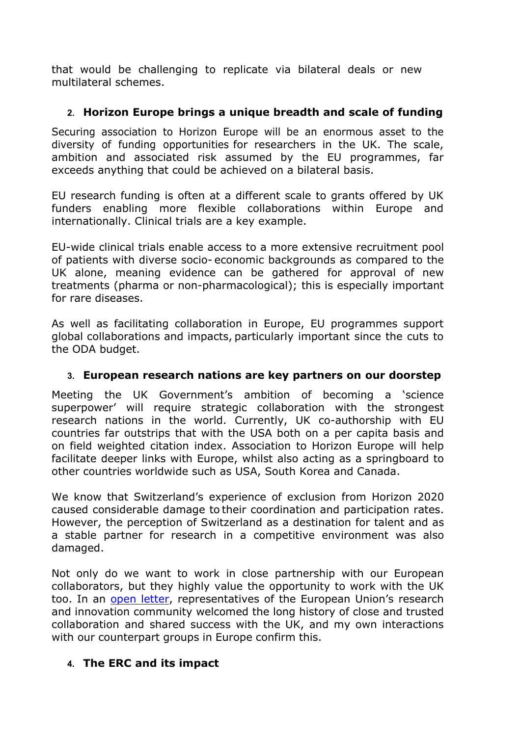that would be challenging to replicate via bilateral deals or new multilateral schemes.

# **2. Horizon Europe brings a unique breadth and scale of funding**

Securing association to Horizon Europe will be an enormous asset to the diversity of funding opportunities for researchers in the UK. The scale, ambition and associated risk assumed by the EU programmes, far exceeds anything that could be achieved on a bilateral basis.

EU research funding is often at a different scale to grants offered by UK funders enabling more flexible collaborations within Europe and internationally. Clinical trials are a key example.

EU-wide clinical trials enable access to a more extensive recruitment pool of patients with diverse socio- economic backgrounds as compared to the UK alone, meaning evidence can be gathered for approval of new treatments (pharma or non-pharmacological); this is especially important for rare diseases.

As well as facilitating collaboration in Europe, EU programmes support global collaborations and impacts, particularly important since the cuts to the ODA budget.

# **3. European research nations are key partners on our doorstep**

Meeting the UK Government's ambition of becoming a 'science superpower' will require strategic collaboration with the strongest research nations in the world. Currently, UK co-authorship with EU countries far outstrips that with the USA both on a per capita basis and on field weighted citation index. Association to Horizon Europe will help facilitate deeper links with Europe, whilst also acting as a springboard to other countries worldwide such as USA, South Korea and Canada.

We know that Switzerland's experience of exclusion from Horizon 2020 caused considerable damage to their coordination and participation rates. However, the perception of Switzerland as a destination for talent and as a stable partner for research in a competitive environment was also damaged.

Not only do we want to work in close partnership with our European collaborators, but they highly value the opportunity to work with the UK too. In an [open](https://russellgroup.ac.uk/news/european-research-community-calls-for-swift-uk-association-to-horizon-europe/) [letter,](https://russellgroup.ac.uk/news/european-research-community-calls-for-swift-uk-association-to-horizon-europe/) representatives of the European Union's research and innovation community welcomed the long history of close and trusted collaboration and shared success with the UK, and my own interactions with our counterpart groups in Europe confirm this.

# **4. The ERC and its impact**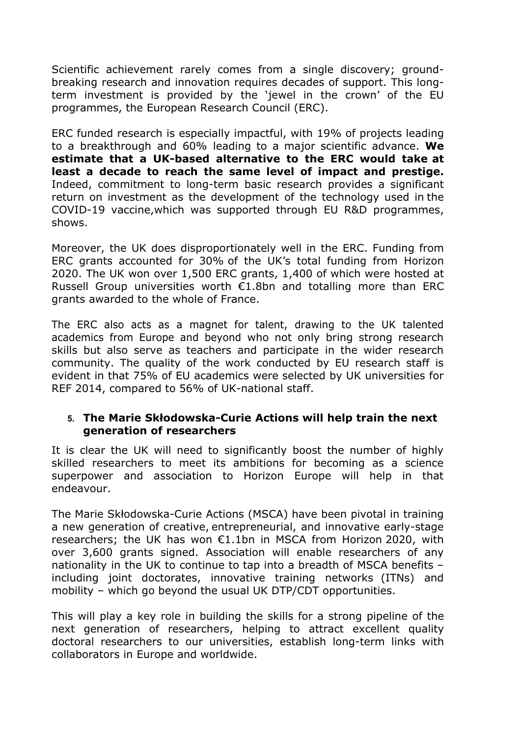Scientific achievement rarely comes from a single discovery; groundbreaking research and innovation requires decades of support. This longterm investment is provided by the 'jewel in the crown' of the EU programmes, the European Research Council (ERC).

ERC funded research is especially impactful, with 19% of projects leading to a breakthrough and 60% leading to a major scientific advance. **We estimate that a UK-based alternative to the ERC would take at least a decade to reach the same level of impact and prestige.** Indeed, commitment to long-term basic research provides a significant return on investment as the development of the technology used in the COVID-19 vaccine,which was supported through EU R&D programmes, shows.

Moreover, the UK does disproportionately well in the ERC. Funding from ERC grants accounted for 30% of the UK's total funding from Horizon 2020. The UK won over 1,500 ERC grants, 1,400 of which were hosted at Russell Group universities worth €1.8bn and totalling more than ERC grants awarded to the whole of France.

The ERC also acts as a magnet for talent, drawing to the UK talented academics from Europe and beyond who not only bring strong research skills but also serve as teachers and participate in the wider research community. The quality of the work conducted by EU research staff is evident in that 75% of EU academics were selected by UK universities for REF 2014, compared to 56% of UK-national staff.

#### **5. The Marie Skłodowska-Curie Actions will help train the next generation of researchers**

It is clear the UK will need to significantly boost the number of highly skilled researchers to meet its ambitions for becoming as a science superpower and association to Horizon Europe will help in that endeavour.

The Marie Skłodowska-Curie Actions (MSCA) have been pivotal in training a new generation of creative, entrepreneurial, and innovative early-stage researchers; the UK has won €1.1bn in MSCA from Horizon 2020, with over 3,600 grants signed. Association will enable researchers of any nationality in the UK to continue to tap into a breadth of MSCA benefits – including joint doctorates, innovative training networks (ITNs) and mobility – which go beyond the usual UK DTP/CDT opportunities.

This will play a key role in building the skills for a strong pipeline of the next generation of researchers, helping to attract excellent quality doctoral researchers to our universities, establish long-term links with collaborators in Europe and worldwide.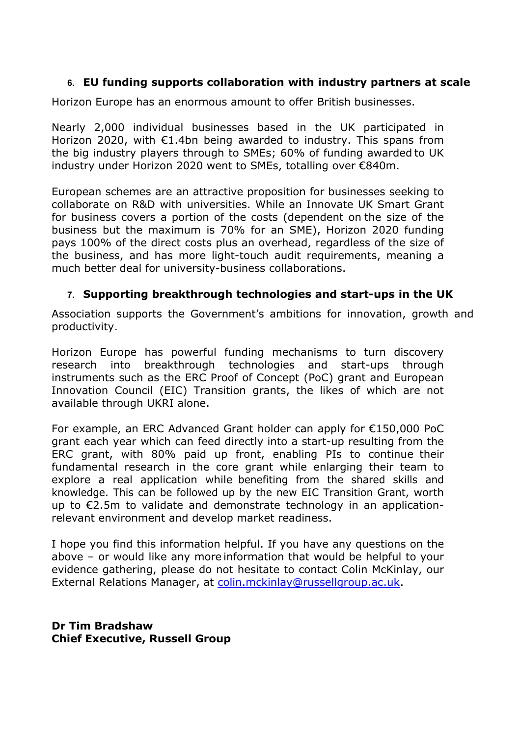## **6. EU funding supports collaboration with industry partners at scale**

Horizon Europe has an enormous amount to offer British businesses.

Nearly 2,000 individual businesses based in the UK participated in Horizon 2020, with €1.4bn being awarded to industry. This spans from the big industry players through to SMEs; 60% of funding awarded to UK industry under Horizon 2020 went to SMEs, totalling over €840m.

European schemes are an attractive proposition for businesses seeking to collaborate on R&D with universities. While an Innovate UK Smart Grant for business covers a portion of the costs (dependent on the size of the business but the maximum is 70% for an SME), Horizon 2020 funding pays 100% of the direct costs plus an overhead, regardless of the size of the business, and has more light-touch audit requirements, meaning a much better deal for university-business collaborations.

### **7. Supporting breakthrough technologies and start-ups in the UK**

Association supports the Government's ambitions for innovation, growth and productivity.

Horizon Europe has powerful funding mechanisms to turn discovery research into breakthrough technologies and start-ups through instruments such as the ERC Proof of Concept (PoC) grant and European Innovation Council (EIC) Transition grants, the likes of which are not available through UKRI alone.

For example, an ERC Advanced Grant holder can apply for €150,000 PoC grant each year which can feed directly into a start-up resulting from the ERC grant, with 80% paid up front, enabling PIs to continue their fundamental research in the core grant while enlarging their team to explore a real application while benefiting from the shared skills and knowledge. This can be followed up by the new EIC Transition Grant, worth up to €2.5m to validate and demonstrate technology in an applicationrelevant environment and develop market readiness.

I hope you find this information helpful. If you have any questions on the above – or would like any more information that would be helpful to your evidence gathering, please do not hesitate to contact Colin McKinlay, our External Relations Manager, at [colin.mckinlay@russellgroup.ac.uk.](mailto:colin.mckinlay@russellgroup.ac.uk)

**Dr Tim Bradshaw Chief Executive, Russell Group**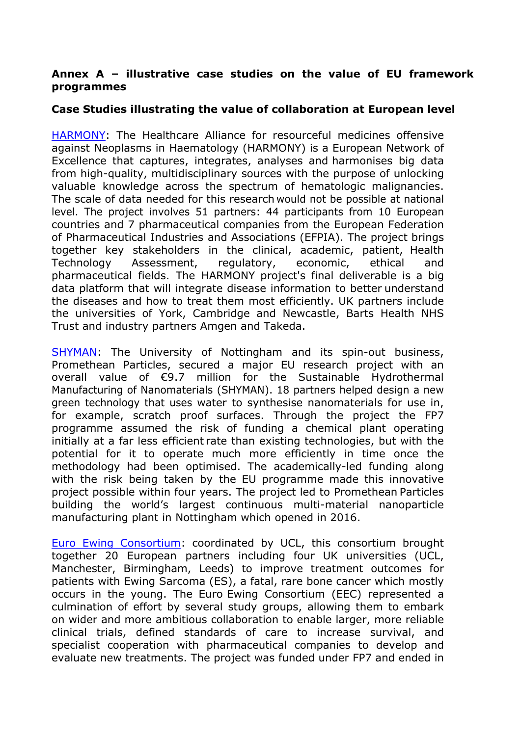### **Annex A – illustrative case studies on the value of EU framework programmes**

## **Case Studies illustrating the value of collaboration at European level**

[HARMONY:](https://www.york.ac.uk/healthsciences/news-and-events/news/2017/harmony/) The Healthcare Alliance for resourceful medicines offensive against Neoplasms in Haematology (HARMONY) is a European Network of Excellence that captures, integrates, analyses and harmonises big data from high-quality, multidisciplinary sources with the purpose of unlocking valuable knowledge across the spectrum of hematologic malignancies. The scale of data needed for this research would not be possible at national level. The project involves 51 partners: 44 participants from 10 European countries and 7 pharmaceutical companies from the European Federation of Pharmaceutical Industries and Associations (EFPIA). The project brings together key stakeholders in the clinical, academic, patient, Health Technology Assessment, regulatory, economic, ethical and pharmaceutical fields. The HARMONY project's final deliverable is a big data platform that will integrate disease information to better understand the diseases and how to treat them most efficiently. UK partners include the universities of York, Cambridge and Newcastle, Barts Health NHS Trust and industry partners Amgen and Takeda.

[SHYMAN:](https://www.nottingham.ac.uk/news/pressreleases/2012/may/shymanpromethean.aspx) The University of Nottingham and its spin-out business, Promethean Particles, secured a major EU research project with an overall value of €9.7 million for the Sustainable Hydrothermal Manufacturing of Nanomaterials (SHYMAN). 18 partners helped design a new green technology that uses water to synthesise nanomaterials for use in, for example, scratch proof surfaces. Through the project the FP7 programme assumed the risk of funding a chemical plant operating initially at a far less efficient rate than existing technologies, but with the potential for it to operate much more efficiently in time once the methodology had been optimised. The academically-led funding along with the risk being taken by the EU programme made this innovative project possible within four years. The project led to Promethean Particles building the world's largest continuous multi-material nanoparticle manufacturing plant in Nottingham which opened in 2016.

[Euro](https://www.ucl.ac.uk/cancer/research/centres-and-networks/home-euro-ewing-consortium) [Ewing](https://www.ucl.ac.uk/cancer/research/centres-and-networks/home-euro-ewing-consortium) [Consortium:](https://www.ucl.ac.uk/cancer/research/centres-and-networks/home-euro-ewing-consortium) coordinated by UCL, this consortium brought together 20 European partners including four UK universities (UCL, Manchester, Birmingham, Leeds) to improve treatment outcomes for patients with Ewing Sarcoma (ES), a fatal, rare bone cancer which mostly occurs in the young. The Euro Ewing Consortium (EEC) represented a culmination of effort by several study groups, allowing them to embark on wider and more ambitious collaboration to enable larger, more reliable clinical trials, defined standards of care to increase survival, and specialist cooperation with pharmaceutical companies to develop and evaluate new treatments. The project was funded under FP7 and ended in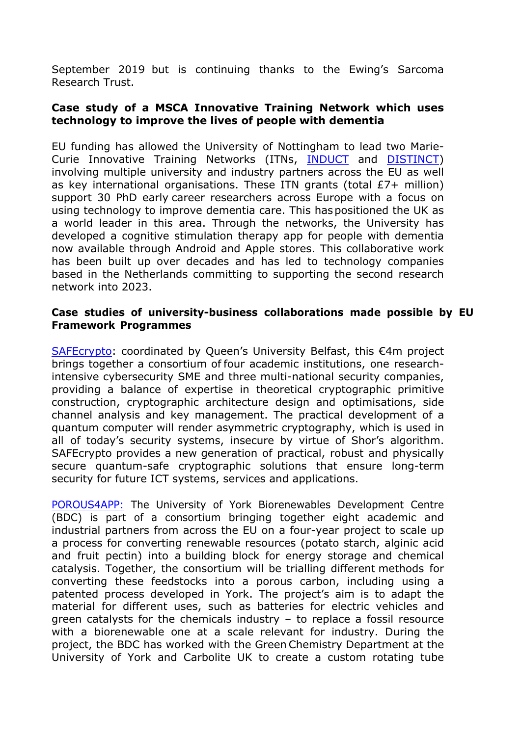September 2019 but is continuing thanks to the Ewing's Sarcoma Research Trust.

#### **Case study of a MSCA Innovative Training Network which uses technology to improve the lives of people with dementia**

EU funding has allowed the University of Nottingham to lead two Marie-Curie Innovative Training Networks (ITNs, [INDUCT](https://cordis.europa.eu/project/id/676265) and [DISTINCT](https://cordis.europa.eu/project/id/813196)) involving multiple university and industry partners across the EU as well as key international organisations. These ITN grants (total £7+ million) support 30 PhD early career researchers across Europe with a focus on using technology to improve dementia care. This haspositioned the UK as a world leader in this area. Through the networks, the University has developed a cognitive stimulation therapy app for people with dementia now available through Android and Apple stores. This collaborative work has been built up over decades and has led to technology companies based in the Netherlands committing to supporting the second research network into 2023.

#### **Case studies of university-business collaborations made possible by EU Framework Programmes**

[SAFEcrypto:](https://www.safecrypto.eu/) coordinated by Queen's University Belfast, this €4m project brings together a consortium of four academic institutions, one researchintensive cybersecurity SME and three multi-national security companies, providing a balance of expertise in theoretical cryptographic primitive construction, cryptographic architecture design and optimisations, side channel analysis and key management. The practical development of a quantum computer will render asymmetric cryptography, which is used in all of today's security systems, insecure by virtue of Shor's algorithm. SAFEcrypto provides a new generation of practical, robust and physically secure quantum-safe cryptographic solutions that ensure long-term security for future ICT systems, services and applications.

[POROUS4APP:](http://www.biorenewables.org/turning-potato-starch-batteries-electric-vehicles/) The University of York Biorenewables Development Centre (BDC) is part of a consortium bringing together eight academic and industrial partners from across the EU on a four-year project to scale up a process for converting renewable resources (potato starch, alginic acid and fruit pectin) into a building block for energy storage and chemical catalysis. Together, the consortium will be trialling different methods for converting these feedstocks into a porous carbon, including using a patented process developed in York. The project's aim is to adapt the material for different uses, such as batteries for electric vehicles and green catalysts for the chemicals industry – to replace a fossil resource with a biorenewable one at a scale relevant for industry. During the project, the BDC has worked with the Green Chemistry Department at the University of York and Carbolite UK to create a custom rotating tube